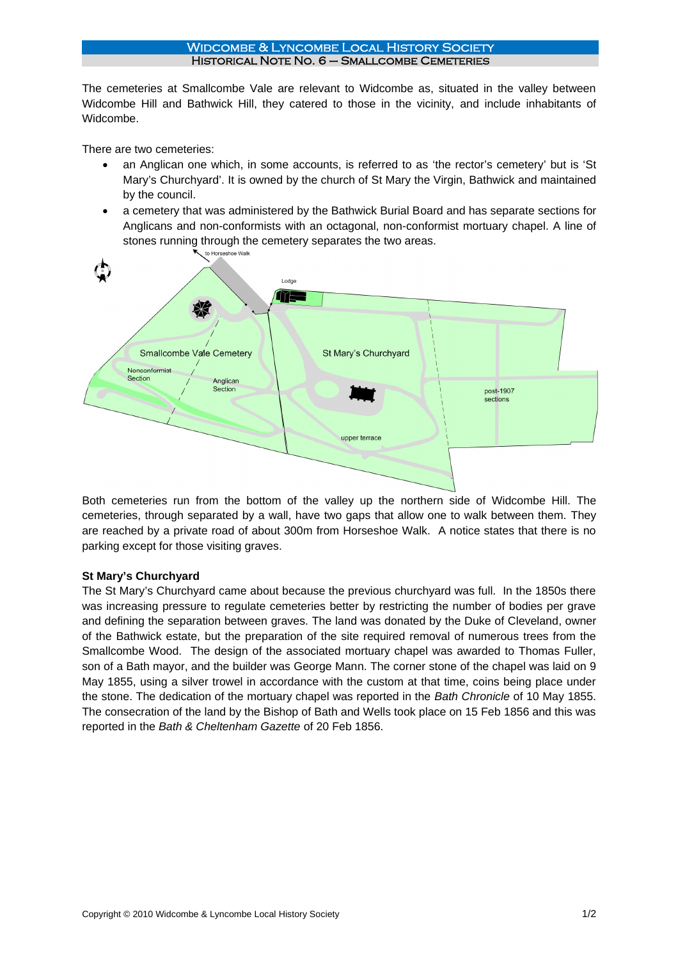## Widcombe & Lyncombe Local History Society Historical Note No. 6 – Smallcombe Cemeteries

The cemeteries at Smallcombe Vale are relevant to Widcombe as, situated in the valley between Widcombe Hill and Bathwick Hill, they catered to those in the vicinity, and include inhabitants of Widcombe.

There are two cemeteries:

- an Anglican one which, in some accounts, is referred to as 'the rector's cemetery' but is 'St Mary's Churchyard'. It is owned by the church of St Mary the Virgin, Bathwick and maintained by the council.
- a cemetery that was administered by the Bathwick Burial Board and has separate sections for Anglicans and non-conformists with an octagonal, non-conformist mortuary chapel. A line of stones running through the cemetery separates the two areas.<br>
N to Horseshoe Walk



Both cemeteries run from the bottom of the valley up the northern side of Widcombe Hill. The cemeteries, through separated by a wall, have two gaps that allow one to walk between them. They are reached by a private road of about 300m from Horseshoe Walk. A notice states that there is no parking except for those visiting graves.

# **St Mary's Churchyard**

The St Mary's Churchyard came about because the previous churchyard was full. In the 1850s there was increasing pressure to regulate cemeteries better by restricting the number of bodies per grave and defining the separation between graves. The land was donated by the Duke of Cleveland, owner of the Bathwick estate, but the preparation of the site required removal of numerous trees from the Smallcombe Wood. The design of the associated mortuary chapel was awarded to Thomas Fuller, son of a Bath mayor, and the builder was George Mann. The corner stone of the chapel was laid on 9 May 1855, using a silver trowel in accordance with the custom at that time, coins being place under the stone. The dedication of the mortuary chapel was reported in the *Bath Chronicle* of 10 May 1855. The consecration of the land by the Bishop of Bath and Wells took place on 15 Feb 1856 and this was reported in the *Bath & Cheltenham Gazette* of 20 Feb 1856.